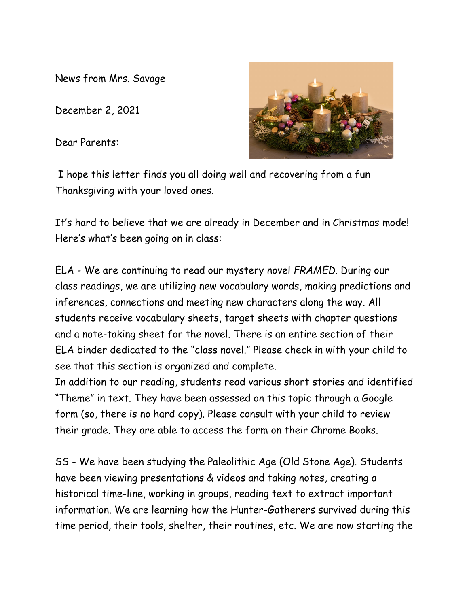News from Mrs. Savage

December 2, 2021

Dear Parents:



I hope this letter finds you all doing well and recovering from a fun Thanksgiving with your loved ones.

It's hard to believe that we are already in December and in Christmas mode! Here's what's been going on in class:

ELA - We are continuing to read our mystery novel *FRAMED*. During our class readings, we are utilizing new vocabulary words, making predictions and inferences, connections and meeting new characters along the way. All students receive vocabulary sheets, target sheets with chapter questions and a note-taking sheet for the novel. There is an entire section of their ELA binder dedicated to the "class novel." Please check in with your child to see that this section is organized and complete.

In addition to our reading, students read various short stories and identified "Theme" in text. They have been assessed on this topic through a Google form (so, there is no hard copy). Please consult with your child to review their grade. They are able to access the form on their Chrome Books.

SS - We have been studying the Paleolithic Age (Old Stone Age). Students have been viewing presentations & videos and taking notes, creating a historical time-line, working in groups, reading text to extract important information. We are learning how the Hunter-Gatherers survived during this time period, their tools, shelter, their routines, etc. We are now starting the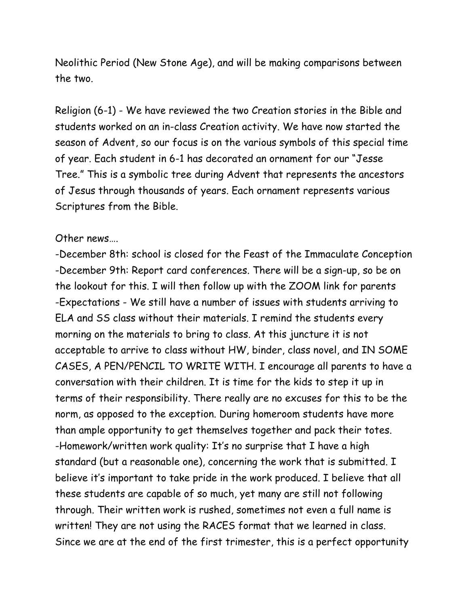Neolithic Period (New Stone Age), and will be making comparisons between the two.

Religion (6-1) - We have reviewed the two Creation stories in the Bible and students worked on an in-class Creation activity. We have now started the season of Advent, so our focus is on the various symbols of this special time of year. Each student in 6-1 has decorated an ornament for our "Jesse Tree." This is a symbolic tree during Advent that represents the ancestors of Jesus through thousands of years. Each ornament represents various Scriptures from the Bible.

## Other news….

-December 8th: school is closed for the Feast of the Immaculate Conception -December 9th: Report card conferences. There will be a sign-up, so be on the lookout for this. I will then follow up with the ZOOM link for parents -Expectations - We still have a number of issues with students arriving to ELA and SS class without their materials. I remind the students every morning on the materials to bring to class. At this juncture it is not acceptable to arrive to class without HW, binder, class novel, and IN SOME CASES, A PEN/PENCIL TO WRITE WITH. I encourage all parents to have a conversation with their children. It is time for the kids to step it up in terms of their responsibility. There really are no excuses for this to be the norm, as opposed to the exception. During homeroom students have more than ample opportunity to get themselves together and pack their totes. -Homework/written work quality: It's no surprise that I have a high standard (but a reasonable one), concerning the work that is submitted. I believe it's important to take pride in the work produced. I believe that all these students are capable of so much, yet many are still not following through. Their written work is rushed, sometimes not even a full name is written! They are not using the RACES format that we learned in class. Since we are at the end of the first trimester, this is a perfect opportunity